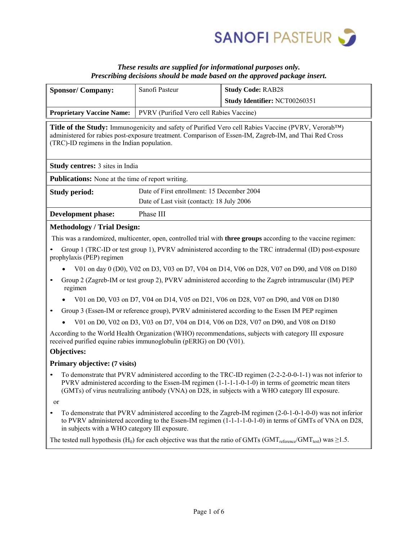

# *These results are supplied for informational purposes only. Prescribing decisions should be made based on the approved package insert.*

|                                                                                                                                                                                                                                                                                                                                            |                                            | г rescribing aecisions should be made based on the approved package insert. |  |  |  |
|--------------------------------------------------------------------------------------------------------------------------------------------------------------------------------------------------------------------------------------------------------------------------------------------------------------------------------------------|--------------------------------------------|-----------------------------------------------------------------------------|--|--|--|
| <b>Sponsor/Company:</b>                                                                                                                                                                                                                                                                                                                    | Sanofi Pasteur                             | <b>Study Code: RAB28</b>                                                    |  |  |  |
|                                                                                                                                                                                                                                                                                                                                            |                                            | Study Identifier: NCT00260351                                               |  |  |  |
| <b>Proprietary Vaccine Name:</b>                                                                                                                                                                                                                                                                                                           | PVRV (Purified Vero cell Rabies Vaccine)   |                                                                             |  |  |  |
| Title of the Study: Immunogenicity and safety of Purified Vero cell Rabies Vaccine (PVRV, Verorab <sup>TM</sup> )<br>administered for rabies post-exposure treatment. Comparison of Essen-IM, Zagreb-IM, and Thai Red Cross<br>(TRC)-ID regimens in the Indian population.                                                                 |                                            |                                                                             |  |  |  |
| <b>Study centres:</b> 3 sites in India                                                                                                                                                                                                                                                                                                     |                                            |                                                                             |  |  |  |
| <b>Publications:</b> None at the time of report writing.                                                                                                                                                                                                                                                                                   |                                            |                                                                             |  |  |  |
| <b>Study period:</b>                                                                                                                                                                                                                                                                                                                       | Date of First enrollment: 15 December 2004 |                                                                             |  |  |  |
|                                                                                                                                                                                                                                                                                                                                            | Date of Last visit (contact): 18 July 2006 |                                                                             |  |  |  |
| <b>Development phase:</b><br>Phase III                                                                                                                                                                                                                                                                                                     |                                            |                                                                             |  |  |  |
| <b>Methodology / Trial Design:</b>                                                                                                                                                                                                                                                                                                         |                                            |                                                                             |  |  |  |
| This was a randomized, multicenter, open, controlled trial with <b>three groups</b> according to the vaccine regimen:                                                                                                                                                                                                                      |                                            |                                                                             |  |  |  |
| Group 1 (TRC-ID or test group 1), PVRV administered according to the TRC intradermal (ID) post-exposure<br>prophylaxis (PEP) regimen                                                                                                                                                                                                       |                                            |                                                                             |  |  |  |
| V01 on day 0 (D0), V02 on D3, V03 on D7, V04 on D14, V06 on D28, V07 on D90, and V08 on D180                                                                                                                                                                                                                                               |                                            |                                                                             |  |  |  |
| Group 2 (Zagreb-IM or test group 2), PVRV administered according to the Zagreb intramuscular (IM) PEP<br>$\bullet$<br>regimen                                                                                                                                                                                                              |                                            |                                                                             |  |  |  |
| V01 on D0, V03 on D7, V04 on D14, V05 on D21, V06 on D28, V07 on D90, and V08 on D180                                                                                                                                                                                                                                                      |                                            |                                                                             |  |  |  |
| Group 3 (Essen-IM or reference group), PVRV administered according to the Essen IM PEP regimen<br>٠                                                                                                                                                                                                                                        |                                            |                                                                             |  |  |  |
| V01 on D0, V02 on D3, V03 on D7, V04 on D14, V06 on D28, V07 on D90, and V08 on D180                                                                                                                                                                                                                                                       |                                            |                                                                             |  |  |  |
| According to the World Health Organization (WHO) recommendations, subjects with category III exposure<br>received purified equine rabies immunoglobulin (pERIG) on D0 (V01).                                                                                                                                                               |                                            |                                                                             |  |  |  |
| Objectives:                                                                                                                                                                                                                                                                                                                                |                                            |                                                                             |  |  |  |
| Primary objective: (7 visits)                                                                                                                                                                                                                                                                                                              |                                            |                                                                             |  |  |  |
| To demonstrate that PVRV administered according to the TRC-ID regimen (2-2-2-0-0-1-1) was not inferior to<br>PVRV administered according to the Essen-IM regimen $(1-1-1-1-0-1-0)$ in terms of geometric mean titers<br>(GMTs) of virus neutralizing antibody (VNA) on D28, in subjects with a WHO category III exposure.<br><sub>or</sub> |                                            |                                                                             |  |  |  |
| To demonstrate that PVRV administered according to the Zagreb-IM regimen (2-0-1-0-1-0-0) was not inferior<br>to PVRV administered according to the Essen-IM regimen (1-1-1-1-0-1-0) in terms of GMTs of VNA on D28,<br>in subjects with a WHO category III exposure.                                                                       |                                            |                                                                             |  |  |  |
| The tested null hypothesis (H <sub>0</sub> ) for each objective was that the ratio of GMTs (GMT <sub>reference</sub> /GMT <sub>test</sub> ) was $\geq$ 1.5.                                                                                                                                                                                |                                            |                                                                             |  |  |  |
|                                                                                                                                                                                                                                                                                                                                            |                                            |                                                                             |  |  |  |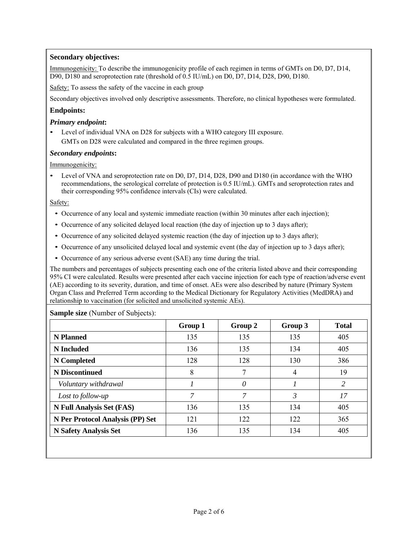## **Secondary objectives:**

Immunogenicity: To describe the immunogenicity profile of each regimen in terms of GMTs on D0, D7, D14, D90, D180 and seroprotection rate (threshold of 0.5 IU/mL) on D0, D7, D14, D28, D90, D180.

Safety: To assess the safety of the vaccine in each group

Secondary objectives involved only descriptive assessments. Therefore, no clinical hypotheses were formulated.

## **Endpoints:**

### *Primary endpoint***:**

• Level of individual VNA on D28 for subjects with a WHO category III exposure. GMTs on D28 were calculated and compared in the three regimen groups.

### *Secondary endpoints***:**

Immunogenicity:

• Level of VNA and seroprotection rate on D0, D7, D14, D28, D90 and D180 (in accordance with the WHO recommendations, the serological correlate of protection is 0.5 IU/mL). GMTs and seroprotection rates and their corresponding 95% confidence intervals (CIs) were calculated.

### Safety:

- Occurrence of any local and systemic immediate reaction (within 30 minutes after each injection);
- Occurrence of any solicited delayed local reaction (the day of injection up to 3 days after);
- Occurrence of any solicited delayed systemic reaction (the day of injection up to 3 days after);
- Occurrence of any unsolicited delayed local and systemic event (the day of injection up to 3 days after);
- Occurrence of any serious adverse event (SAE) any time during the trial.

The numbers and percentages of subjects presenting each one of the criteria listed above and their corresponding 95% CI were calculated. Results were presented after each vaccine injection for each type of reaction/adverse event (AE) according to its severity, duration, and time of onset. AEs were also described by nature (Primary System Organ Class and Preferred Term according to the Medical Dictionary for Regulatory Activities (MedDRA) and relationship to vaccination (for solicited and unsolicited systemic AEs).

#### **Sample size** (Number of Subjects):

|                                  | Group 1 | Group 2 | Group 3        | <b>Total</b> |
|----------------------------------|---------|---------|----------------|--------------|
| <b>N</b> Planned                 | 135     | 135     | 135            | 405          |
| <b>N</b> Included                | 136     | 135     | 134            | 405          |
| N Completed                      | 128     | 128     | 130            | 386          |
| <b>N</b> Discontinued            | 8       |         | $\overline{4}$ | 19           |
| Voluntary withdrawal             |         | 0       |                | 2            |
| Lost to follow-up                | 7       | 7       | 3              | 17           |
| <b>N Full Analysis Set (FAS)</b> | 136     | 135     | 134            | 405          |
| N Per Protocol Analysis (PP) Set | 121     | 122     | 122            | 365          |
| <b>N Safety Analysis Set</b>     | 136     | 135     | 134            | 405          |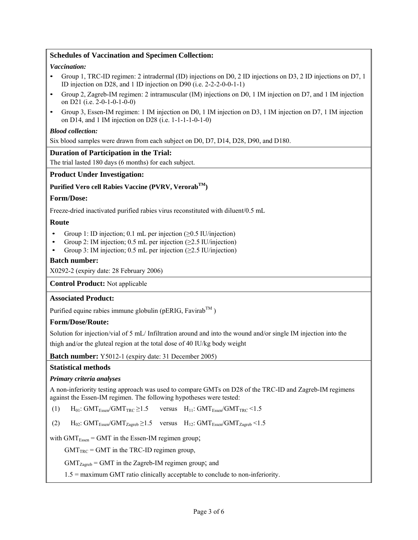### **Schedules of Vaccination and Specimen Collection:**

#### *Vaccination:*

- Group 1, TRC-ID regimen: 2 intradermal (ID) injections on D0, 2 ID injections on D3, 2 ID injections on D7, 1 ID injection on D28, and 1 ID injection on D90 (i.e. 2-2-2-0-0-1-1)
- Group 2, Zagreb-IM regimen: 2 intramuscular (IM) injections on D0, 1 IM injection on D7, and 1 IM injection on D21 (i.e. 2-0-1-0-1-0-0)
- Group 3, Essen-IM regimen: 1 IM injection on D0, 1 IM injection on D3, 1 IM injection on D7, 1 IM injection on D14, and 1 IM injection on D28 (i.e. 1-1-1-1-0-1-0)

#### *Blood collection:*

Six blood samples were drawn from each subject on D0, D7, D14, D28, D90, and D180.

### **Duration of Participation in the Trial:**

The trial lasted 180 days (6 months) for each subject.

### **Product Under Investigation:**

### **Purified Vero cell Rabies Vaccine (PVRV, VerorabTM)**

### **Form/Dose:**

Freeze-dried inactivated purified rabies virus reconstituted with diluent/0.5 mL

### **Route**

- Group 1: ID injection; 0.1 mL per injection ( $\geq$ 0.5 IU/injection)
- Group 2: IM injection; 0.5 mL per injection (≥2.5 IU/injection)
- Group 3: IM injection; 0.5 mL per injection ( $\geq$ 2.5 IU/injection)

### **Batch number:**

X0292-2 (expiry date: 28 February 2006)

**Control Product:** Not applicable

#### **Associated Product:**

Purified equine rabies immune globulin (pERIG, Favirab<sup>TM</sup>)

#### **Form/Dose/Route:**

Solution for injection/vial of 5 mL/ Infiltration around and into the wound and/or single IM injection into the thigh and/or the gluteal region at the total dose of 40 IU/kg body weight

**Batch number:** Y5012-1 (expiry date: 31 December 2005)

#### **Statistical methods**

#### *Primary criteria analyses*

A non-inferiority testing approach was used to compare GMTs on D28 of the TRC-ID and Zagreb-IM regimens against the Essen-IM regimen. The following hypotheses were tested:

(1)  $H_{01}$ : GMT<sub>Essen</sub>/GMT<sub>TRC</sub>  $\geq$ 1.5 versus  $H_{11}$ : GMT<sub>Essen</sub>/GMT<sub>TRC</sub> <1.5

(2)  $H_{02}$ : GMT<sub>Essen</sub>/GMT<sub>Zagreb</sub>  $\geq$ 1.5 versus  $H_{12}$ : GMT<sub>Essen</sub>/GMT<sub>Zagreb</sub> <1.5

with  $GMT<sub>Essen</sub> = GMT$  in the Essen-IM regimen group;

 $GMT<sub>TRC</sub> = GMT$  in the TRC-ID regimen group,

 $GMT<sub>Zagreb</sub> = GMT$  in the Zagreb-IM regimen group; and

1.5 = maximum GMT ratio clinically acceptable to conclude to non-inferiority.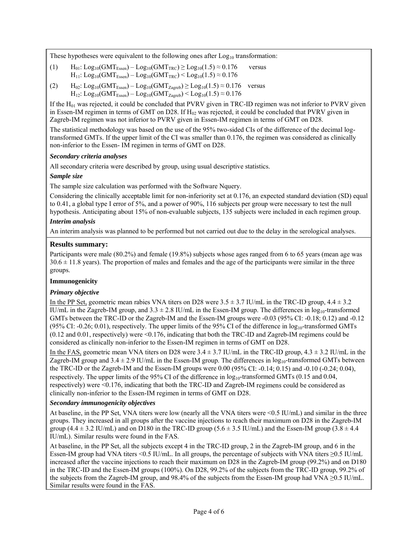These hypotheses were equivalent to the following ones after  $Log<sub>10</sub>$  transformation:

- (1)  $H_{01}: Log_{10}(GMT_{Essen}) Log_{10}(GMT_{TRC}) \ge Log_{10}(1.5) \approx 0.176$  versus  $H_{11}: Log_{10}(GMT_{Essen}) - Log_{10}(GMT_{TRC}) \le Log_{10}(1.5) \approx 0.176$
- (2)  $H_{02}: Log_{10}(GMT_{Essen}) Log_{10}(GMT_{Zagreb}) \ge Log_{10}(1.5) \approx 0.176$  versus  $H_{12}: Log_{10}(GMT_{Essen}) - Log_{10}(GMT_{Zagreb}) \le Log_{10}(1.5) \approx 0.176$

If the  $H_{01}$  was rejected, it could be concluded that PVRV given in TRC-ID regimen was not inferior to PVRV given in Essen-IM regimen in terms of GMT on D28. If  $H_{02}$  was rejected, it could be concluded that PVRV given in Zagreb-IM regimen was not inferior to PVRV given in Essen-IM regimen in terms of GMT on D28.

The statistical methodology was based on the use of the 95% two-sided CIs of the difference of the decimal logtransformed GMTs. If the upper limit of the CI was smaller than 0.176, the regimen was considered as clinically non-inferior to the Essen- IM regimen in terms of GMT on D28.

### *Secondary criteria analyses*

All secondary criteria were described by group, using usual descriptive statistics.

### *Sample size*

The sample size calculation was performed with the Software Nquery.

Considering the clinically acceptable limit for non-inferiority set at 0.176, an expected standard deviation (SD) equal to 0.41, a global type I error of 5%, and a power of 90%, 116 subjects per group were necessary to test the null hypothesis. Anticipating about 15% of non-evaluable subjects, 135 subjects were included in each regimen group.

### *Interim analysis*

An interim analysis was planned to be performed but not carried out due to the delay in the serological analyses.

### **Results summary:**

Participants were male (80.2%) and female (19.8%) subjects whose ages ranged from 6 to 65 years (mean age was  $30.6 \pm 11.8$  years). The proportion of males and females and the age of the participants were similar in the three groups.

### **Immunogenicity**

## *Primary objective*

In the PP Set, geometric mean rabies VNA titers on D28 were  $3.5 \pm 3.7$  IU/mL in the TRC-ID group,  $4.4 \pm 3.2$ IU/mL in the Zagreb-IM group, and  $3.3 \pm 2.8$  IU/mL in the Essen-IM group. The differences in  $log_{10}$ -transformed GMTs between the TRC-ID or the Zagreb-IM and the Essen-IM groups were -0.03 (95% CI: -0.18; 0.12) and -0.12 (95% CI: -0.26; 0.01), respectively. The upper limits of the 95% CI of the difference in  $log_{10}$ -transformed GMTs (0.12 and 0.01, respectively) were <0.176, indicating that both the TRC-ID and Zagreb-IM regimens could be considered as clinically non-inferior to the Essen-IM regimen in terms of GMT on D28.

In the FAS, geometric mean VNA titers on D28 were  $3.4 \pm 3.7$  IU/mL in the TRC-ID group,  $4.3 \pm 3.2$  IU/mL in the Zagreb-IM group and  $3.4 \pm 2.9$  IU/mL in the Essen-IM group. The differences in  $log_{10}$ -transformed GMTs between the TRC-ID or the Zagreb-IM and the Essen-IM groups were 0.00 (95% CI: -0.14; 0.15) and -0.10 (-0.24; 0.04), respectively. The upper limits of the 95% CI of the difference in  $log_{10}$ -transformed GMTs (0.15 and 0.04, respectively) were <0.176, indicating that both the TRC-ID and Zagreb-IM regimens could be considered as clinically non-inferior to the Essen-IM regimen in terms of GMT on D28.

## *Secondary immunogenicity objectives*

At baseline, in the PP Set, VNA titers were low (nearly all the VNA titers were <0.5 IU/mL) and similar in the three groups. They increased in all groups after the vaccine injections to reach their maximum on D28 in the Zagreb-IM group  $(4.4 \pm 3.2 \text{ IU/mL})$  and on D180 in the TRC-ID group  $(5.6 \pm 3.5 \text{ IU/mL})$  and the Essen-IM group  $(3.8 \pm 4.4 \text{ J})$ IU/mL). Similar results were found in the FAS.

At baseline, in the PP Set, all the subjects except 4 in the TRC-ID group, 2 in the Zagreb-IM group, and 6 in the Essen-IM group had VNA titers <0.5 IU/mL. In all groups, the percentage of subjects with VNA titers ≥0.5 IU/mL increased after the vaccine injections to reach their maximum on D28 in the Zagreb-IM group (99.2%) and on D180 in the TRC-ID and the Essen-IM groups (100%). On D28, 99.2% of the subjects from the TRC-ID group, 99.2% of the subjects from the Zagreb-IM group, and 98.4% of the subjects from the Essen-IM group had VNA ≥0.5 IU/mL. Similar results were found in the FAS.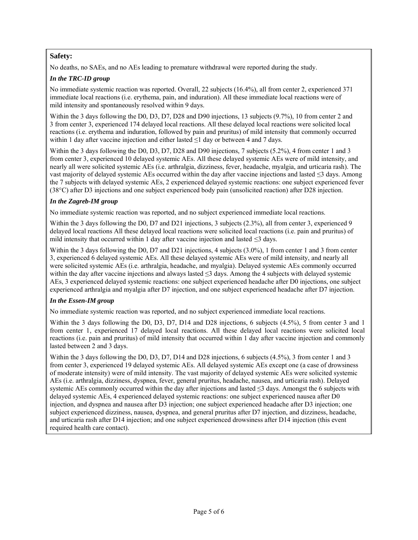# **Safety:**

No deaths, no SAEs, and no AEs leading to premature withdrawal were reported during the study.

### *In the TRC-ID group*

No immediate systemic reaction was reported. Overall, 22 subjects (16.4%), all from center 2, experienced 371 immediate local reactions (i.e. erythema, pain, and induration). All these immediate local reactions were of mild intensity and spontaneously resolved within 9 days.

Within the 3 days following the D0, D3, D7, D28 and D90 injections, 13 subjects (9.7%), 10 from center 2 and 3 from center 3, experienced 174 delayed local reactions. All these delayed local reactions were solicited local reactions (i.e. erythema and induration, followed by pain and pruritus) of mild intensity that commonly occurred within 1 day after vaccine injection and either lasted ≤1 day or between 4 and 7 days.

Within the 3 days following the D0, D3, D7, D28 and D90 injections, 7 subjects (5.2%), 4 from center 1 and 3 from center 3, experienced 10 delayed systemic AEs. All these delayed systemic AEs were of mild intensity, and nearly all were solicited systemic AEs (i.e. arthralgia, dizziness, fever, headache, myalgia, and urticaria rash). The vast majority of delayed systemic AEs occurred within the day after vaccine injections and lasted ≤3 days. Among the 7 subjects with delayed systemic AEs, 2 experienced delayed systemic reactions: one subject experienced fever (38°C) after D3 injections and one subject experienced body pain (unsolicited reaction) after D28 injection.

### *In the Zagreb-IM group*

No immediate systemic reaction was reported, and no subject experienced immediate local reactions.

Within the 3 days following the D0, D7 and D21 injections, 3 subjects (2.3%), all from center 3, experienced 9 delayed local reactions All these delayed local reactions were solicited local reactions (i.e. pain and pruritus) of mild intensity that occurred within 1 day after vaccine injection and lasted  $\leq$ 3 days.

Within the 3 days following the D0, D7 and D21 injections, 4 subjects (3.0%), 1 from center 1 and 3 from center 3, experienced 6 delayed systemic AEs. All these delayed systemic AEs were of mild intensity, and nearly all were solicited systemic AEs (i.e. arthralgia, headache, and myalgia). Delayed systemic AEs commonly occurred within the day after vaccine injections and always lasted ≤3 days. Among the 4 subjects with delayed systemic AEs, 3 experienced delayed systemic reactions: one subject experienced headache after D0 injections, one subject experienced arthralgia and myalgia after D7 injection, and one subject experienced headache after D7 injection.

## *In the Essen-IM group*

No immediate systemic reaction was reported, and no subject experienced immediate local reactions.

Within the 3 days following the D0, D3, D7, D14 and D28 injections, 6 subjects (4.5%), 5 from center 3 and 1 from center 1, experienced 17 delayed local reactions. All these delayed local reactions were solicited local reactions (i.e. pain and pruritus) of mild intensity that occurred within 1 day after vaccine injection and commonly lasted between 2 and 3 days.

Within the 3 days following the D0, D3, D7, D14 and D28 injections, 6 subjects (4.5%), 3 from center 1 and 3 from center 3, experienced 19 delayed systemic AEs. All delayed systemic AEs except one (a case of drowsiness of moderate intensity) were of mild intensity. The vast majority of delayed systemic AEs were solicited systemic AEs (i.e. arthralgia, dizziness, dyspnea, fever, general pruritus, headache, nausea, and urticaria rash). Delayed systemic AEs commonly occurred within the day after injections and lasted ≤3 days. Amongst the 6 subjects with delayed systemic AEs, 4 experienced delayed systemic reactions: one subject experienced nausea after D0 injection, and dyspnea and nausea after D3 injection; one subject experienced headache after D3 injection; one subject experienced dizziness, nausea, dyspnea, and general pruritus after D7 injection, and dizziness, headache, and urticaria rash after D14 injection; and one subject experienced drowsiness after D14 injection (this event required health care contact).